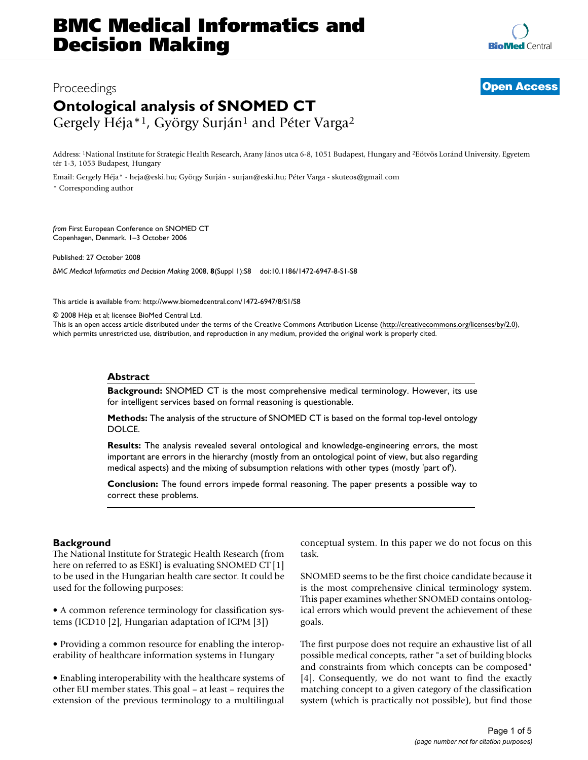# Proceedings **[Open Access](http://www.biomedcentral.com/info/about/charter/) Ontological analysis of SNOMED CT** Gergely Héja\*<sup>1</sup>, György Surján<sup>1</sup> and Péter Varga<sup>2</sup>

Address: 1National Institute for Strategic Health Research, Arany János utca 6-8, 1051 Budapest, Hungary and 2Eötvös Loránd University, Egyetem tér 1-3, 1053 Budapest, Hungary

Email: Gergely Héja\* - heja@eski.hu; György Surján - surjan@eski.hu; Péter Varga - skuteos@gmail.com \* Corresponding author

*from* First European Conference on SNOMED CT Copenhagen, Denmark. 1–3 October 2006

Published: 27 October 2008

*BMC Medical Informatics and Decision Making* 2008, **8**(Suppl 1):S8 doi:10.1186/1472-6947-8-S1-S8

[This article is available from: http://www.biomedcentral.com/1472-6947/8/S1/S8](http://www.biomedcentral.com/1472-6947/8/S1/S8)

© 2008 Héja et al; licensee BioMed Central Ltd.

This is an open access article distributed under the terms of the Creative Commons Attribution License [\(http://creativecommons.org/licenses/by/2.0\)](http://creativecommons.org/licenses/by/2.0), which permits unrestricted use, distribution, and reproduction in any medium, provided the original work is properly cited.

#### **Abstract**

**Background:** SNOMED CT is the most comprehensive medical terminology. However, its use for intelligent services based on formal reasoning is questionable.

**Methods:** The analysis of the structure of SNOMED CT is based on the formal top-level ontology DOLCE.

**Results:** The analysis revealed several ontological and knowledge-engineering errors, the most important are errors in the hierarchy (mostly from an ontological point of view, but also regarding medical aspects) and the mixing of subsumption relations with other types (mostly 'part of').

**Conclusion:** The found errors impede formal reasoning. The paper presents a possible way to correct these problems.

#### **Background**

The National Institute for Strategic Health Research (from here on referred to as ESKI) is evaluating SNOMED CT [1] to be used in the Hungarian health care sector. It could be used for the following purposes:

• A common reference terminology for classification systems (ICD10 [2], Hungarian adaptation of ICPM [3])

• Providing a common resource for enabling the interoperability of healthcare information systems in Hungary

• Enabling interoperability with the healthcare systems of other EU member states. This goal – at least – requires the extension of the previous terminology to a multilingual

conceptual system. In this paper we do not focus on this task.

SNOMED seems to be the first choice candidate because it is the most comprehensive clinical terminology system. This paper examines whether SNOMED contains ontological errors which would prevent the achievement of these goals.

The first purpose does not require an exhaustive list of all possible medical concepts, rather "a set of building blocks and constraints from which concepts can be composed" [4]. Consequently, we do not want to find the exactly matching concept to a given category of the classification system (which is practically not possible), but find those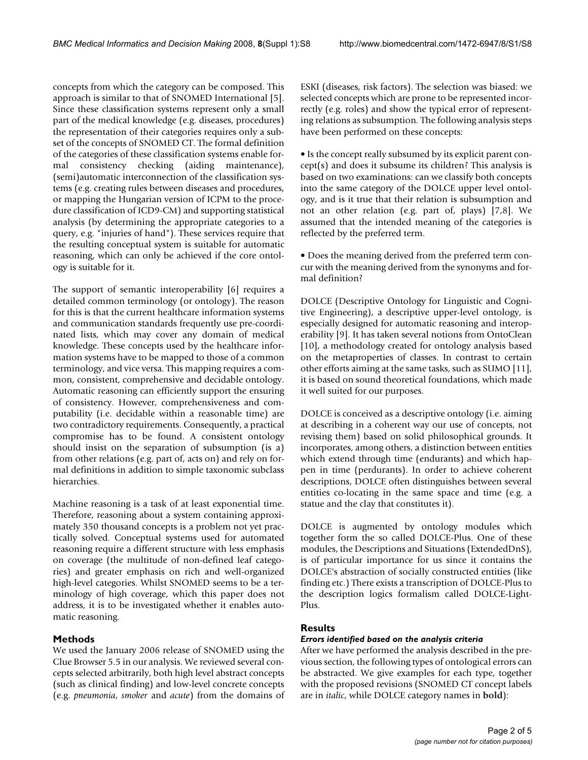concepts from which the category can be composed. This approach is similar to that of SNOMED International [5]. Since these classification systems represent only a small part of the medical knowledge (e.g. diseases, procedures) the representation of their categories requires only a subset of the concepts of SNOMED CT. The formal definition of the categories of these classification systems enable formal consistency checking (aiding maintenance), (semi)automatic interconnection of the classification systems (e.g. creating rules between diseases and procedures, or mapping the Hungarian version of ICPM to the procedure classification of ICD9-CM) and supporting statistical analysis (by determining the appropriate categories to a query, e.g. "injuries of hand"). These services require that the resulting conceptual system is suitable for automatic reasoning, which can only be achieved if the core ontology is suitable for it.

The support of semantic interoperability [6] requires a detailed common terminology (or ontology). The reason for this is that the current healthcare information systems and communication standards frequently use pre-coordinated lists, which may cover any domain of medical knowledge. These concepts used by the healthcare information systems have to be mapped to those of a common terminology, and vice versa. This mapping requires a common, consistent, comprehensive and decidable ontology. Automatic reasoning can efficiently support the ensuring of consistency. However, comprehensiveness and computability (i.e. decidable within a reasonable time) are two contradictory requirements. Consequently, a practical compromise has to be found. A consistent ontology should insist on the separation of subsumption (is a) from other relations (e.g. part of, acts on) and rely on formal definitions in addition to simple taxonomic subclass hierarchies.

Machine reasoning is a task of at least exponential time. Therefore, reasoning about a system containing approximately 350 thousand concepts is a problem not yet practically solved. Conceptual systems used for automated reasoning require a different structure with less emphasis on coverage (the multitude of non-defined leaf categories) and greater emphasis on rich and well-organized high-level categories. Whilst SNOMED seems to be a terminology of high coverage, which this paper does not address, it is to be investigated whether it enables automatic reasoning.

# **Methods**

We used the January 2006 release of SNOMED using the Clue Browser 5.5 in our analysis. We reviewed several concepts selected arbitrarily, both high level abstract concepts (such as clinical finding) and low-level concrete concepts (e.g. *pneumonia*, *smoker* and *acute*) from the domains of ESKI (diseases, risk factors). The selection was biased: we selected concepts which are prone to be represented incorrectly (e.g. roles) and show the typical error of representing relations as subsumption. The following analysis steps have been performed on these concepts:

• Is the concept really subsumed by its explicit parent concept(s) and does it subsume its children? This analysis is based on two examinations: can we classify both concepts into the same category of the DOLCE upper level ontology, and is it true that their relation is subsumption and not an other relation (e.g. part of, plays) [7,8]. We assumed that the intended meaning of the categories is reflected by the preferred term.

• Does the meaning derived from the preferred term concur with the meaning derived from the synonyms and formal definition?

DOLCE (Descriptive Ontology for Linguistic and Cognitive Engineering), a descriptive upper-level ontology, is especially designed for automatic reasoning and interoperability [9]. It has taken several notions from OntoClean [10], a methodology created for ontology analysis based on the metaproperties of classes. In contrast to certain other efforts aiming at the same tasks, such as SUMO [11], it is based on sound theoretical foundations, which made it well suited for our purposes.

DOLCE is conceived as a descriptive ontology (i.e. aiming at describing in a coherent way our use of concepts, not revising them) based on solid philosophical grounds. It incorporates, among others, a distinction between entities which extend through time (endurants) and which happen in time (perdurants). In order to achieve coherent descriptions, DOLCE often distinguishes between several entities co-locating in the same space and time (e.g. a statue and the clay that constitutes it).

DOLCE is augmented by ontology modules which together form the so called DOLCE-Plus. One of these modules, the Descriptions and Situations (ExtendedDnS), is of particular importance for us since it contains the DOLCE's abstraction of socially constructed entities (like finding etc.) There exists a transcription of DOLCE-Plus to the description logics formalism called DOLCE-Light-Plus.

# **Results**

# *Errors identified based on the analysis criteria*

After we have performed the analysis described in the previous section, the following types of ontological errors can be abstracted. We give examples for each type, together with the proposed revisions (SNOMED CT concept labels are in *italic*, while DOLCE category names in **bold**):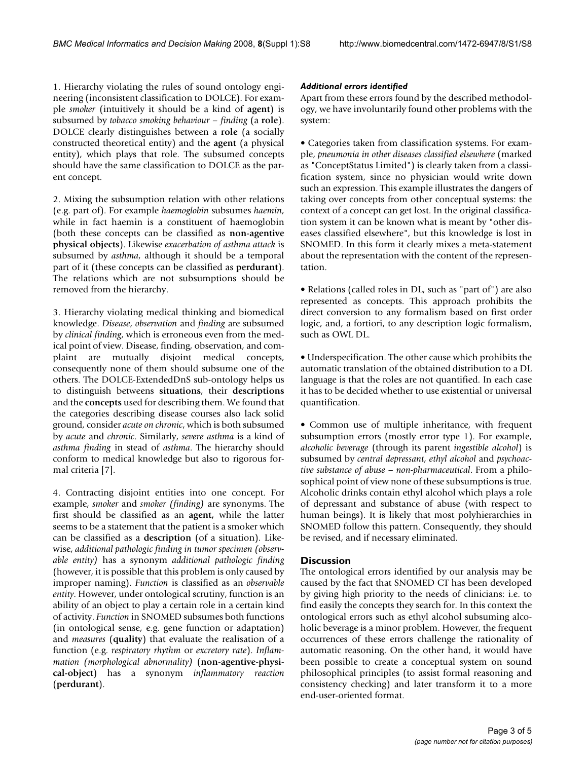1. Hierarchy violating the rules of sound ontology engineering (inconsistent classification to DOLCE). For example *smoker* (intuitively it should be a kind of **agent**) is subsumed by *tobacco smoking behaviour – finding* (a **role**). DOLCE clearly distinguishes between a **role** (a socially constructed theoretical entity) and the **agent** (a physical entity), which plays that role. The subsumed concepts should have the same classification to DOLCE as the parent concept.

2. Mixing the subsumption relation with other relations (e.g. part of). For example *haemoglobin* subsumes *haemin*, while in fact haemin is a constituent of haemoglobin (both these concepts can be classified as **non-agentive physical objects**). Likewise *exacerbation of asthma attack* is subsumed by *asthma*, although it should be a temporal part of it (these concepts can be classified as **perdurant**). The relations which are not subsumptions should be removed from the hierarchy.

3. Hierarchy violating medical thinking and biomedical knowledge. *Disease*, *observation* and *finding* are subsumed by *clinical finding*, which is erroneous even from the medical point of view. Disease, finding, observation, and complaint are mutually disjoint medical concepts, consequently none of them should subsume one of the others. The DOLCE-ExtendedDnS sub-ontology helps us to distinguish betweens **situations**, their **descriptions** and the **concepts** used for describing them. We found that the categories describing disease courses also lack solid ground, consider *acute on chronic*, which is both subsumed by *acute* and *chronic*. Similarly, *severe asthma* is a kind of *asthma finding* in stead of *asthma*. The hierarchy should conform to medical knowledge but also to rigorous formal criteria [7].

4. Contracting disjoint entities into one concept. For example, *smoker* and *smoker (finding)* are synonyms. The first should be classified as an **agent,** while the latter seems to be a statement that the patient is a smoker which can be classified as a **description** (of a situation). Likewise, *additional pathologic finding in tumor specimen (observable entity)* has a synonym *additional pathologic finding* (however, it is possible that this problem is only caused by improper naming). *Function* is classified as an *observable entity*. However, under ontological scrutiny, function is an ability of an object to play a certain role in a certain kind of activity. *Function* in SNOMED subsumes both functions (in ontological sense, e.g. gene function or adaptation) and *measures* (**quality**) that evaluate the realisation of a function (e.g. *respiratory rhythm* or *excretory rate*). *Inflammation (morphological abnormality)* (**non-agentive-physical-object**) has a synonym *inflammatory reaction* (**perdurant**).

### *Additional errors identified*

Apart from these errors found by the described methodology, we have involuntarily found other problems with the system:

• Categories taken from classification systems. For example, *pneumonia in other diseases classified elsewhere* (marked as "ConceptStatus Limited") is clearly taken from a classification system, since no physician would write down such an expression. This example illustrates the dangers of taking over concepts from other conceptual systems: the context of a concept can get lost. In the original classification system it can be known what is meant by "other diseases classified elsewhere", but this knowledge is lost in SNOMED. In this form it clearly mixes a meta-statement about the representation with the content of the representation.

• Relations (called roles in DL, such as "part of") are also represented as concepts. This approach prohibits the direct conversion to any formalism based on first order logic, and, a fortiori, to any description logic formalism, such as OWL DL.

• Underspecification. The other cause which prohibits the automatic translation of the obtained distribution to a DL language is that the roles are not quantified. In each case it has to be decided whether to use existential or universal quantification.

• Common use of multiple inheritance, with frequent subsumption errors (mostly error type 1). For example, *alcoholic beverage* (through its parent *ingestible alcohol*) is subsumed by *central depressant*, *ethyl alcohol* and *psychoactive substance of abuse – non-pharmaceutical*. From a philosophical point of view none of these subsumptions is true. Alcoholic drinks contain ethyl alcohol which plays a role of depressant and substance of abuse (with respect to human beings). It is likely that most polyhierarchies in SNOMED follow this pattern. Consequently, they should be revised, and if necessary eliminated.

# **Discussion**

The ontological errors identified by our analysis may be caused by the fact that SNOMED CT has been developed by giving high priority to the needs of clinicians: i.e. to find easily the concepts they search for. In this context the ontological errors such as ethyl alcohol subsuming alcoholic beverage is a minor problem. However, the frequent occurrences of these errors challenge the rationality of automatic reasoning. On the other hand, it would have been possible to create a conceptual system on sound philosophical principles (to assist formal reasoning and consistency checking) and later transform it to a more end-user-oriented format.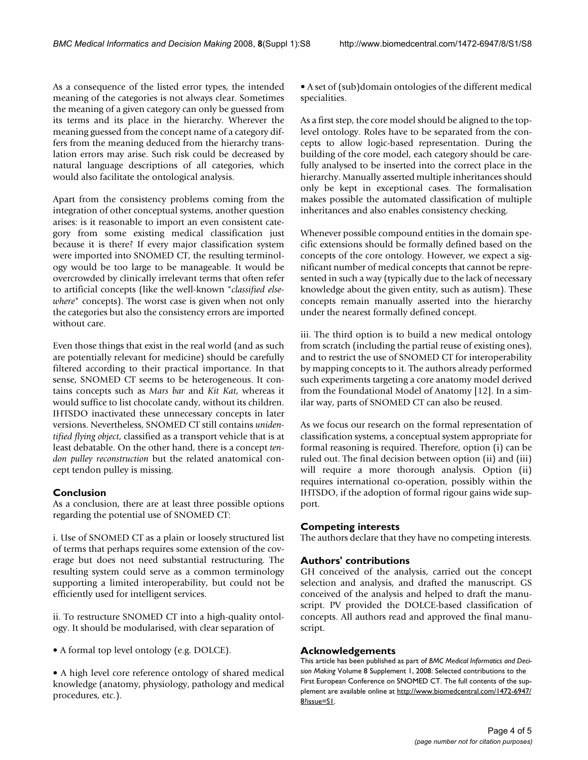As a consequence of the listed error types, the intended meaning of the categories is not always clear. Sometimes the meaning of a given category can only be guessed from its terms and its place in the hierarchy. Wherever the meaning guessed from the concept name of a category differs from the meaning deduced from the hierarchy translation errors may arise. Such risk could be decreased by natural language descriptions of all categories, which would also facilitate the ontological analysis.

Apart from the consistency problems coming from the integration of other conceptual systems, another question arises: is it reasonable to import an even consistent category from some existing medical classification just because it is there? If every major classification system were imported into SNOMED CT, the resulting terminology would be too large to be manageable. It would be overcrowded by clinically irrelevant terms that often refer to artificial concepts (like the well-known "*classified elsewhere*" concepts). The worst case is given when not only the categories but also the consistency errors are imported without care.

Even those things that exist in the real world (and as such are potentially relevant for medicine) should be carefully filtered according to their practical importance. In that sense, SNOMED CT seems to be heterogeneous. It contains concepts such as *Mars bar* and *Kit Kat*, whereas it would suffice to list chocolate candy, without its children. IHTSDO inactivated these unnecessary concepts in later versions. Nevertheless, SNOMED CT still contains *unidentified flying object*, classified as a transport vehicle that is at least debatable. On the other hand, there is a concept *tendon pulley reconstruction* but the related anatomical concept tendon pulley is missing.

# **Conclusion**

As a conclusion, there are at least three possible options regarding the potential use of SNOMED CT:

i. Use of SNOMED CT as a plain or loosely structured list of terms that perhaps requires some extension of the coverage but does not need substantial restructuring. The resulting system could serve as a common terminology supporting a limited interoperability, but could not be efficiently used for intelligent services.

ii. To restructure SNOMED CT into a high-quality ontology. It should be modularised, with clear separation of

• A formal top level ontology (e.g. DOLCE).

• A high level core reference ontology of shared medical knowledge (anatomy, physiology, pathology and medical procedures, etc.).

• A set of (sub)domain ontologies of the different medical specialities.

As a first step, the core model should be aligned to the toplevel ontology. Roles have to be separated from the concepts to allow logic-based representation. During the building of the core model, each category should be carefully analysed to be inserted into the correct place in the hierarchy. Manually asserted multiple inheritances should only be kept in exceptional cases. The formalisation makes possible the automated classification of multiple inheritances and also enables consistency checking.

Whenever possible compound entities in the domain specific extensions should be formally defined based on the concepts of the core ontology. However, we expect a significant number of medical concepts that cannot be represented in such a way (typically due to the lack of necessary knowledge about the given entity, such as autism). These concepts remain manually asserted into the hierarchy under the nearest formally defined concept.

iii. The third option is to build a new medical ontology from scratch (including the partial reuse of existing ones), and to restrict the use of SNOMED CT for interoperability by mapping concepts to it. The authors already performed such experiments targeting a core anatomy model derived from the Foundational Model of Anatomy [12]. In a similar way, parts of SNOMED CT can also be reused.

As we focus our research on the formal representation of classification systems, a conceptual system appropriate for formal reasoning is required. Therefore, option (i) can be ruled out. The final decision between option (ii) and (iii) will require a more thorough analysis. Option (ii) requires international co-operation, possibly within the IHTSDO, if the adoption of formal rigour gains wide support.

# **Competing interests**

The authors declare that they have no competing interests.

# **Authors' contributions**

GH conceived of the analysis, carried out the concept selection and analysis, and drafted the manuscript. GS conceived of the analysis and helped to draft the manuscript. PV provided the DOLCE-based classification of concepts. All authors read and approved the final manuscript.

# **Acknowledgements**

This article has been published as part of *BMC Medical Informatics and Decision Making* Volume 8 Supplement 1, 2008: Selected contributions to the First European Conference on SNOMED CT. The full contents of the supplement are available online at [http://www.biomedcentral.com/1472-6947/](http://www.biomedcentral.com/1472-6947/8?issue=S1) [8?issue=S1.](http://www.biomedcentral.com/1472-6947/8?issue=S1)